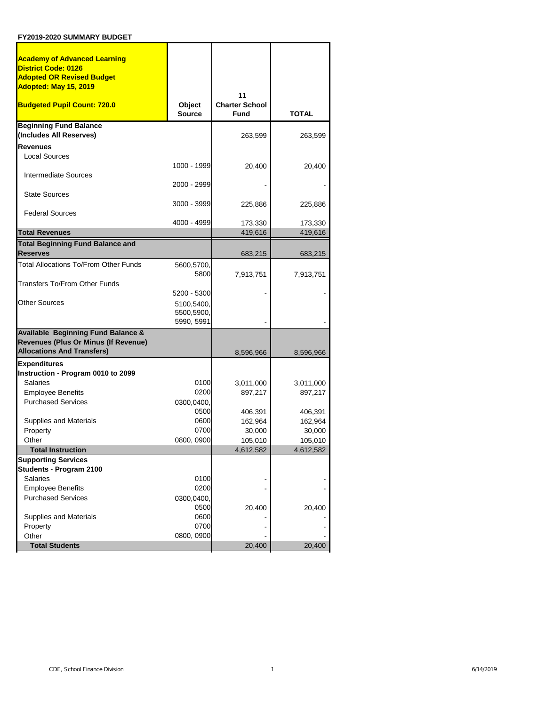| <b>Academy of Advanced Learning</b>                            |                                        |                                            |                   |
|----------------------------------------------------------------|----------------------------------------|--------------------------------------------|-------------------|
| <b>District Code: 0126</b><br><b>Adopted OR Revised Budget</b> |                                        |                                            |                   |
| Adopted: May 15, 2019                                          |                                        |                                            |                   |
| <b>Budgeted Pupil Count: 720.0</b>                             | Object<br><b>Source</b>                | 11<br><b>Charter School</b><br><b>Fund</b> | <b>TOTAL</b>      |
| <b>Beginning Fund Balance</b><br>(Includes All Reserves)       |                                        | 263,599                                    | 263,599           |
| <b>Revenues</b>                                                |                                        |                                            |                   |
| <b>Local Sources</b>                                           |                                        |                                            |                   |
|                                                                | 1000 - 1999                            | 20,400                                     | 20,400            |
| Intermediate Sources                                           |                                        |                                            |                   |
| <b>State Sources</b>                                           | 2000 - 2999                            |                                            |                   |
| <b>Federal Sources</b>                                         | 3000 - 3999                            | 225,886                                    | 225,886           |
|                                                                | 4000 - 4999                            | 173,330                                    | 173,330           |
| <b>Total Revenues</b>                                          |                                        | 419,616                                    | 419,616           |
| <b>Total Beginning Fund Balance and</b>                        |                                        |                                            |                   |
| <b>Reserves</b>                                                |                                        | 683,215                                    | 683,215           |
| <b>Total Allocations To/From Other Funds</b>                   | 5600,5700,<br>5800                     | 7,913,751                                  | 7,913,751         |
| Transfers To/From Other Funds                                  |                                        |                                            |                   |
|                                                                | 5200 - 5300                            |                                            |                   |
| <b>Other Sources</b>                                           | 5100,5400,<br>5500,5900,<br>5990, 5991 |                                            |                   |
| <b>Available Beginning Fund Balance &amp;</b>                  |                                        |                                            |                   |
| Revenues (Plus Or Minus (If Revenue)                           |                                        |                                            |                   |
| <b>Allocations And Transfers)</b>                              |                                        | 8,596,966                                  | 8,596,966         |
| <b>Expenditures</b>                                            |                                        |                                            |                   |
| Instruction - Program 0010 to 2099                             |                                        |                                            |                   |
| <b>Salaries</b>                                                | 0100                                   | 3,011,000                                  | 3,011,000         |
| <b>Employee Benefits</b>                                       | 0200                                   | 897,217                                    | 897,217           |
| <b>Purchased Services</b>                                      | 0300,0400,                             |                                            |                   |
|                                                                | 0500                                   | 406,391                                    | 406,391           |
| Supplies and Materials                                         | 0600<br>0700                           | 162,964                                    | 162,964           |
| Property<br>Other                                              | 0800, 0900                             | 30,000<br>105,010                          | 30,000<br>105,010 |
| <b>Total Instruction</b>                                       |                                        | 4,612,582                                  | 4,612,582         |
| <b>Supporting Services</b>                                     |                                        |                                            |                   |
| Students - Program 2100                                        |                                        |                                            |                   |
| <b>Salaries</b>                                                | 0100                                   |                                            |                   |
| <b>Employee Benefits</b>                                       | 0200                                   |                                            |                   |
| <b>Purchased Services</b>                                      | 0300,0400,                             |                                            |                   |
|                                                                | 0500                                   | 20,400                                     | 20,400            |
| Supplies and Materials                                         | 0600                                   |                                            |                   |
| Property                                                       | 0700                                   |                                            |                   |
| Other                                                          | 0800, 0900                             |                                            |                   |
| <b>Total Students</b>                                          |                                        | 20,400                                     | 20,400            |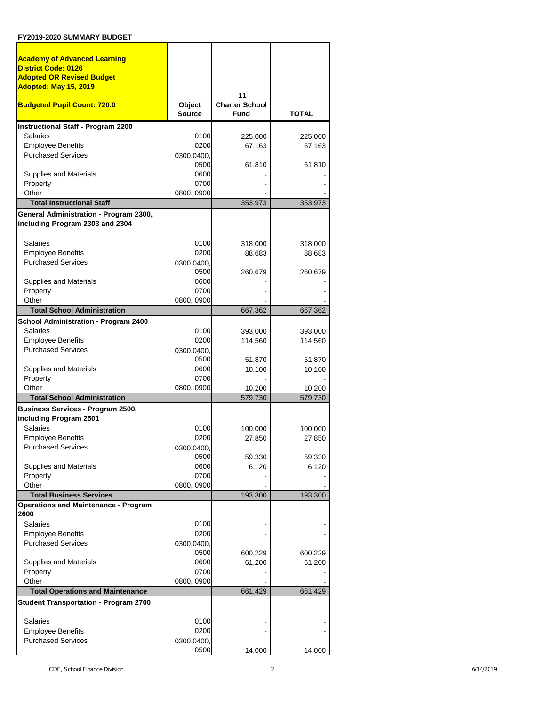| <b>Academy of Advanced Learning</b>                                       |                         |                                      |                   |
|---------------------------------------------------------------------------|-------------------------|--------------------------------------|-------------------|
| <b>District Code: 0126</b>                                                |                         |                                      |                   |
| <b>Adopted OR Revised Budget</b>                                          |                         |                                      |                   |
| Adopted: May 15, 2019                                                     |                         |                                      |                   |
|                                                                           |                         | 11                                   |                   |
| <b>Budgeted Pupil Count: 720.0</b>                                        | Object<br><b>Source</b> | <b>Charter School</b><br><b>Fund</b> | <b>TOTAL</b>      |
| <b>Instructional Staff - Program 2200</b>                                 |                         |                                      |                   |
| Salaries                                                                  | 0100                    | 225,000                              | 225,000           |
| <b>Employee Benefits</b>                                                  | 0200                    | 67,163                               | 67,163            |
| <b>Purchased Services</b>                                                 | 0300,0400,              |                                      |                   |
|                                                                           | 0500                    | 61,810                               | 61,810            |
| Supplies and Materials                                                    | 0600                    |                                      |                   |
| Property                                                                  | 0700                    |                                      |                   |
| Other<br><b>Total Instructional Staff</b>                                 | 0800, 0900              |                                      |                   |
|                                                                           |                         | 353,973                              | 353,973           |
| General Administration - Program 2300,<br>including Program 2303 and 2304 |                         |                                      |                   |
|                                                                           |                         |                                      |                   |
| Salaries                                                                  | 0100                    | 318,000                              | 318,000           |
| <b>Employee Benefits</b>                                                  | 0200                    | 88,683                               | 88,683            |
| <b>Purchased Services</b>                                                 | 0300,0400,              |                                      |                   |
|                                                                           | 0500                    | 260,679                              | 260,679           |
| Supplies and Materials                                                    | 0600                    |                                      |                   |
| Property                                                                  | 0700                    |                                      |                   |
| Other                                                                     | 0800, 0900              |                                      |                   |
| <b>Total School Administration</b>                                        |                         | 667,362                              | 667,362           |
| School Administration - Program 2400                                      |                         |                                      |                   |
| Salaries                                                                  | 0100                    | 393,000                              | 393,000           |
| <b>Employee Benefits</b>                                                  | 0200                    | 114,560                              | 114,560           |
| <b>Purchased Services</b>                                                 | 0300,0400,              |                                      |                   |
|                                                                           | 0500                    | 51,870                               | 51,870            |
| Supplies and Materials                                                    | 0600                    | 10,100                               | 10,100            |
| Property<br>Other                                                         | 0700<br>0800, 0900      |                                      |                   |
| <b>Total School Administration</b>                                        |                         | 10,200<br>579,730                    | 10,200<br>579,730 |
| Business Services - Program 2500,                                         |                         |                                      |                   |
| including Program 2501                                                    |                         |                                      |                   |
| Salaries                                                                  | 0100                    | 100,000                              | 100,000           |
| <b>Employee Benefits</b>                                                  | 0200                    | 27,850                               | 27,850            |
| <b>Purchased Services</b>                                                 | 0300,0400,              |                                      |                   |
|                                                                           | 0500                    | 59,330                               | 59,330            |
| Supplies and Materials                                                    | 0600                    | 6,120                                | 6,120             |
| Property                                                                  | 0700                    |                                      |                   |
| Other                                                                     | 0800, 0900              |                                      |                   |
| <b>Total Business Services</b>                                            |                         | 193,300                              | 193,300           |
| <b>Operations and Maintenance - Program</b>                               |                         |                                      |                   |
| 2600<br>Salaries                                                          | 0100                    |                                      |                   |
| <b>Employee Benefits</b>                                                  | 0200                    |                                      |                   |
| <b>Purchased Services</b>                                                 | 0300,0400,              |                                      |                   |
|                                                                           | 0500                    | 600,229                              | 600,229           |
| Supplies and Materials                                                    | 0600                    | 61,200                               | 61,200            |
| Property                                                                  | 0700                    |                                      |                   |
| Other                                                                     | 0800, 0900              |                                      |                   |
| <b>Total Operations and Maintenance</b>                                   |                         | 661,429                              | 661,429           |
| <b>Student Transportation - Program 2700</b>                              |                         |                                      |                   |
| <b>Salaries</b>                                                           | 0100                    |                                      |                   |
| <b>Employee Benefits</b>                                                  | 0200                    |                                      |                   |
| <b>Purchased Services</b>                                                 | 0300,0400,              |                                      |                   |
|                                                                           | 0500                    | 14,000                               | 14,000            |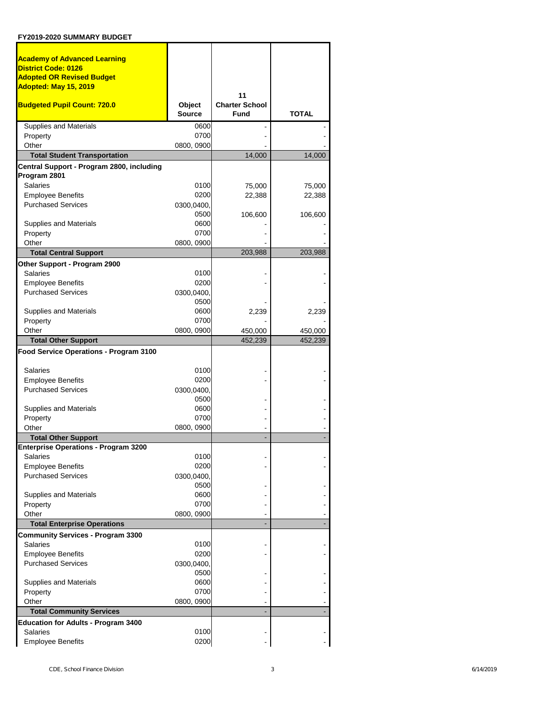| <b>Academy of Advanced Learning</b>                                              |                    |                       |              |
|----------------------------------------------------------------------------------|--------------------|-----------------------|--------------|
| <b>District Code: 0126</b><br><b>Adopted OR Revised Budget</b>                   |                    |                       |              |
| Adopted: May 15, 2019                                                            |                    |                       |              |
|                                                                                  |                    | 11                    |              |
| <b>Budgeted Pupil Count: 720.0</b>                                               | <b>Object</b>      | <b>Charter School</b> |              |
|                                                                                  | <b>Source</b>      | Fund                  | <b>TOTAL</b> |
| <b>Supplies and Materials</b>                                                    | 0600               |                       |              |
| Property                                                                         | 0700               |                       |              |
| Other                                                                            | 0800, 0900         |                       |              |
| <b>Total Student Transportation</b><br>Central Support - Program 2800, including |                    | 14,000                | 14,000       |
| Program 2801                                                                     |                    |                       |              |
| <b>Salaries</b>                                                                  | 0100               | 75,000                | 75,000       |
| <b>Employee Benefits</b>                                                         | 0200               | 22,388                | 22,388       |
| <b>Purchased Services</b>                                                        | 0300,0400,         |                       |              |
|                                                                                  | 0500               | 106,600               | 106,600      |
| Supplies and Materials                                                           | 0600               |                       |              |
| Property                                                                         | 0700               |                       |              |
| Other<br><b>Total Central Support</b>                                            | 0800, 0900         | 203,988               | 203,988      |
|                                                                                  |                    |                       |              |
| Other Support - Program 2900<br><b>Salaries</b>                                  | 0100               |                       |              |
| <b>Employee Benefits</b>                                                         | 0200               |                       |              |
| <b>Purchased Services</b>                                                        | 0300,0400,         |                       |              |
|                                                                                  | 0500               |                       |              |
| Supplies and Materials                                                           | 0600               | 2,239                 | 2,239        |
| Property                                                                         | 0700               |                       |              |
| Other                                                                            | 0800, 0900         | 450,000               | 450,000      |
| <b>Total Other Support</b>                                                       |                    | 452,239               | 452,239      |
| Food Service Operations - Program 3100                                           |                    |                       |              |
| <b>Salaries</b>                                                                  | 0100               |                       |              |
| <b>Employee Benefits</b>                                                         | 0200               |                       |              |
| <b>Purchased Services</b>                                                        | 0300,0400,         |                       |              |
|                                                                                  | 0500               |                       |              |
| Supplies and Materials                                                           | 0600               |                       |              |
| Property<br>Other                                                                | 0700<br>0800, 0900 |                       |              |
| <b>Total Other Support</b>                                                       |                    |                       |              |
| <b>Enterprise Operations - Program 3200</b>                                      |                    |                       |              |
| <b>Salaries</b>                                                                  | 0100               |                       |              |
| <b>Employee Benefits</b>                                                         | 0200               |                       |              |
| <b>Purchased Services</b>                                                        | 0300,0400,         |                       |              |
|                                                                                  | 0500               |                       |              |
| Supplies and Materials<br>Property                                               | 0600<br>0700       |                       |              |
| Other                                                                            | 0800, 0900         |                       |              |
| <b>Total Enterprise Operations</b>                                               |                    |                       |              |
| <b>Community Services - Program 3300</b>                                         |                    |                       |              |
| <b>Salaries</b>                                                                  | 0100               |                       |              |
| <b>Employee Benefits</b>                                                         | 0200               |                       |              |
| <b>Purchased Services</b>                                                        | 0300,0400,         |                       |              |
|                                                                                  | 0500               |                       |              |
| Supplies and Materials                                                           | 0600               |                       |              |
| Property<br>Other                                                                | 0700               |                       |              |
| <b>Total Community Services</b>                                                  | 0800, 0900         |                       |              |
| <b>Education for Adults - Program 3400</b>                                       |                    |                       |              |
| Salaries                                                                         | 0100               |                       |              |
| <b>Employee Benefits</b>                                                         | 0200               |                       |              |
|                                                                                  |                    |                       |              |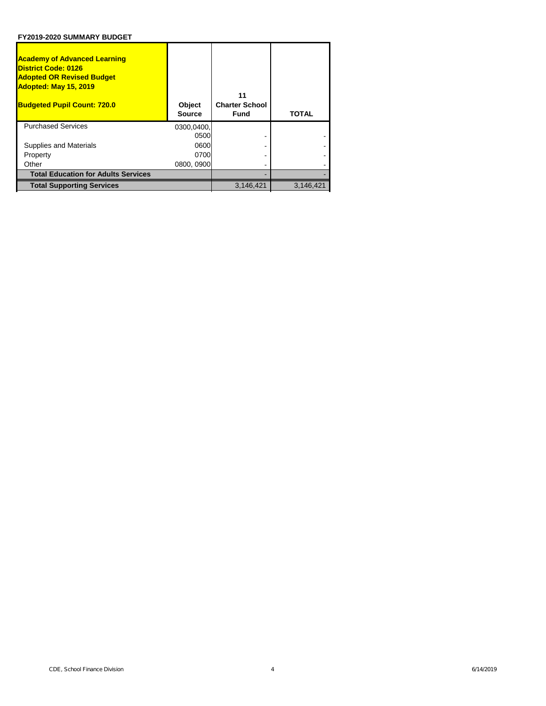| <b>Academy of Advanced Learning</b><br><b>District Code: 0126</b><br><b>Adopted OR Revised Budget</b><br><b>Adopted: May 15, 2019</b><br><b>Budgeted Pupil Count: 720.0</b> | Object<br><b>Source</b> | 11<br><b>Charter School</b><br>Fund | <b>TOTAL</b> |
|-----------------------------------------------------------------------------------------------------------------------------------------------------------------------------|-------------------------|-------------------------------------|--------------|
| <b>Purchased Services</b>                                                                                                                                                   | 0300,0400,              |                                     |              |
|                                                                                                                                                                             | 0500                    |                                     |              |
| Supplies and Materials                                                                                                                                                      | 0600                    |                                     |              |
| Property                                                                                                                                                                    | 0700                    |                                     |              |
| Other                                                                                                                                                                       | 0800, 0900              |                                     |              |
| <b>Total Education for Adults Services</b>                                                                                                                                  |                         |                                     |              |
| <b>Total Supporting Services</b>                                                                                                                                            |                         | 3,146,421                           | 3,146,421    |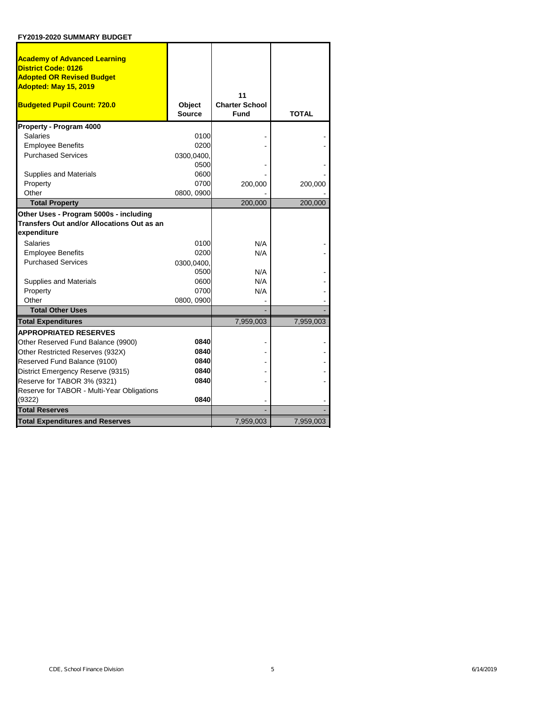| <b>Academy of Advanced Learning</b><br><b>District Code: 0126</b> |               |                       |              |
|-------------------------------------------------------------------|---------------|-----------------------|--------------|
| <b>Adopted OR Revised Budget</b>                                  |               |                       |              |
| Adopted: May 15, 2019                                             |               |                       |              |
|                                                                   |               | 11                    |              |
| <b>Budgeted Pupil Count: 720.0</b>                                | <b>Object</b> | <b>Charter School</b> |              |
|                                                                   | <b>Source</b> | <b>Fund</b>           | <b>TOTAL</b> |
| Property - Program 4000                                           |               |                       |              |
| <b>Salaries</b>                                                   | 0100          |                       |              |
| <b>Employee Benefits</b>                                          | 0200          |                       |              |
| <b>Purchased Services</b>                                         | 0300,0400,    |                       |              |
|                                                                   | 0500          |                       |              |
| Supplies and Materials                                            | 0600          |                       |              |
| Property                                                          | 0700          | 200,000               | 200,000      |
| Other                                                             | 0800, 0900    |                       |              |
| <b>Total Property</b>                                             |               | 200,000               | 200,000      |
| Other Uses - Program 5000s - including                            |               |                       |              |
| <b>Transfers Out and/or Allocations Out as an</b>                 |               |                       |              |
| expenditure                                                       |               |                       |              |
| <b>Salaries</b>                                                   | 0100          | N/A                   |              |
| <b>Employee Benefits</b>                                          | 0200          | N/A                   |              |
| <b>Purchased Services</b>                                         | 0300,0400,    |                       |              |
|                                                                   | 0500          | N/A                   |              |
| Supplies and Materials                                            | 0600          | N/A                   |              |
| Property                                                          | 0700          | N/A                   |              |
| Other                                                             | 0800, 0900    |                       |              |
| <b>Total Other Uses</b>                                           |               |                       |              |
| <b>Total Expenditures</b>                                         |               | 7,959,003             | 7,959,003    |
| <b>APPROPRIATED RESERVES</b>                                      |               |                       |              |
| Other Reserved Fund Balance (9900)                                | 0840          |                       |              |
| Other Restricted Reserves (932X)                                  | 0840          |                       |              |
| Reserved Fund Balance (9100)                                      | 0840          |                       |              |
| District Emergency Reserve (9315)                                 | 0840          |                       |              |
| Reserve for TABOR 3% (9321)                                       | 0840          |                       |              |
| Reserve for TABOR - Multi-Year Obligations                        |               |                       |              |
| (9322)                                                            | 0840          |                       |              |
| <b>Total Reserves</b>                                             |               |                       |              |
| <b>Total Expenditures and Reserves</b>                            |               | 7,959,003             | 7,959,003    |